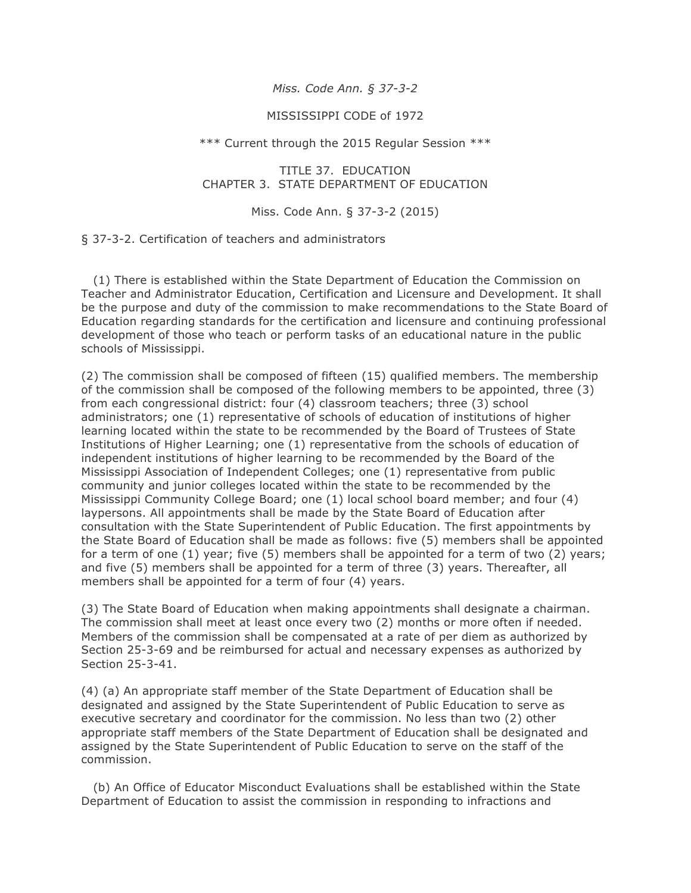*Miss. Code Ann. § 37-3-2*

## MISSISSIPPI CODE of 1972

## \*\*\* Current through the 2015 Regular Session \*\*\*

TITLE 37. EDUCATION CHAPTER 3. STATE DEPARTMENT OF EDUCATION

## Miss. Code Ann. § 37-3-2 (2015)

§ 37-3-2. Certification of teachers and administrators

 (1) There is established within the State Department of Education the Commission on Teacher and Administrator Education, Certification and Licensure and Development. It shall be the purpose and duty of the commission to make recommendations to the State Board of Education regarding standards for the certification and licensure and continuing professional development of those who teach or perform tasks of an educational nature in the public schools of Mississippi.

(2) The commission shall be composed of fifteen (15) qualified members. The membership of the commission shall be composed of the following members to be appointed, three (3) from each congressional district: four (4) classroom teachers; three (3) school administrators; one (1) representative of schools of education of institutions of higher learning located within the state to be recommended by the Board of Trustees of State Institutions of Higher Learning; one (1) representative from the schools of education of independent institutions of higher learning to be recommended by the Board of the Mississippi Association of Independent Colleges; one (1) representative from public community and junior colleges located within the state to be recommended by the Mississippi Community College Board; one (1) local school board member; and four (4) laypersons. All appointments shall be made by the State Board of Education after consultation with the State Superintendent of Public Education. The first appointments by the State Board of Education shall be made as follows: five (5) members shall be appointed for a term of one (1) year; five (5) members shall be appointed for a term of two (2) years; and five (5) members shall be appointed for a term of three (3) years. Thereafter, all members shall be appointed for a term of four (4) years.

(3) The State Board of Education when making appointments shall designate a chairman. The commission shall meet at least once every two (2) months or more often if needed. Members of the commission shall be compensated at a rate of per diem as authorized by Section 25-3-69 and be reimbursed for actual and necessary expenses as authorized by Section 25-3-41.

(4) (a) An appropriate staff member of the State Department of Education shall be designated and assigned by the State Superintendent of Public Education to serve as executive secretary and coordinator for the commission. No less than two (2) other appropriate staff members of the State Department of Education shall be designated and assigned by the State Superintendent of Public Education to serve on the staff of the commission.

 (b) An Office of Educator Misconduct Evaluations shall be established within the State Department of Education to assist the commission in responding to infractions and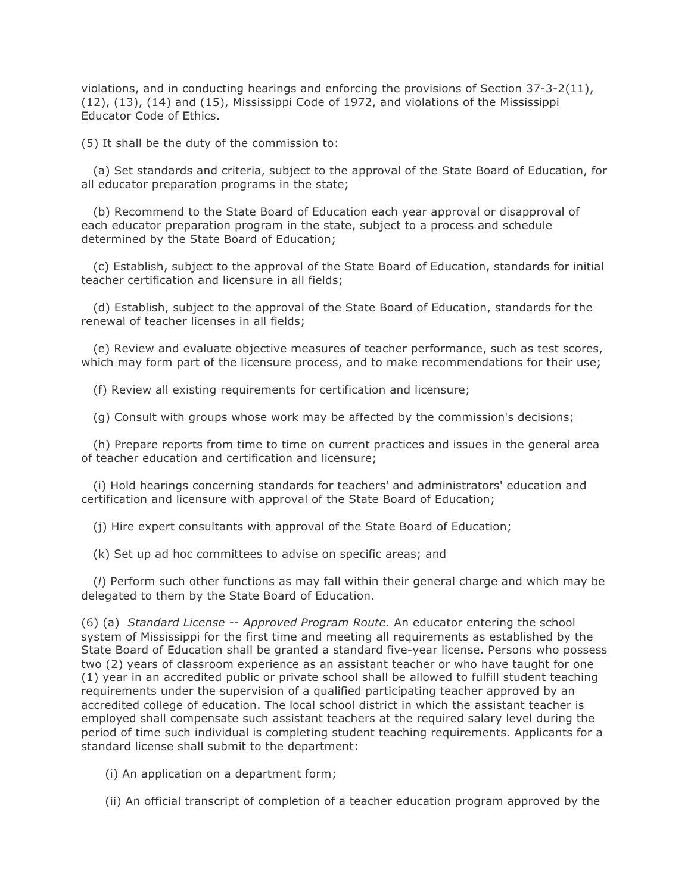violations, and in conducting hearings and enforcing the provisions of Section 37-3-2(11), (12), (13), (14) and (15), Mississippi Code of 1972, and violations of the Mississippi Educator Code of Ethics.

(5) It shall be the duty of the commission to:

 (a) Set standards and criteria, subject to the approval of the State Board of Education, for all educator preparation programs in the state;

 (b) Recommend to the State Board of Education each year approval or disapproval of each educator preparation program in the state, subject to a process and schedule determined by the State Board of Education;

 (c) Establish, subject to the approval of the State Board of Education, standards for initial teacher certification and licensure in all fields;

 (d) Establish, subject to the approval of the State Board of Education, standards for the renewal of teacher licenses in all fields;

 (e) Review and evaluate objective measures of teacher performance, such as test scores, which may form part of the licensure process, and to make recommendations for their use;

(f) Review all existing requirements for certification and licensure;

(g) Consult with groups whose work may be affected by the commission's decisions;

 (h) Prepare reports from time to time on current practices and issues in the general area of teacher education and certification and licensure;

 (i) Hold hearings concerning standards for teachers' and administrators' education and certification and licensure with approval of the State Board of Education;

(j) Hire expert consultants with approval of the State Board of Education;

(k) Set up ad hoc committees to advise on specific areas; and

 (*l*) Perform such other functions as may fall within their general charge and which may be delegated to them by the State Board of Education.

(6) (a) *Standard License -- Approved Program Route.* An educator entering the school system of Mississippi for the first time and meeting all requirements as established by the State Board of Education shall be granted a standard five-year license. Persons who possess two (2) years of classroom experience as an assistant teacher or who have taught for one (1) year in an accredited public or private school shall be allowed to fulfill student teaching requirements under the supervision of a qualified participating teacher approved by an accredited college of education. The local school district in which the assistant teacher is employed shall compensate such assistant teachers at the required salary level during the period of time such individual is completing student teaching requirements. Applicants for a standard license shall submit to the department:

(i) An application on a department form;

(ii) An official transcript of completion of a teacher education program approved by the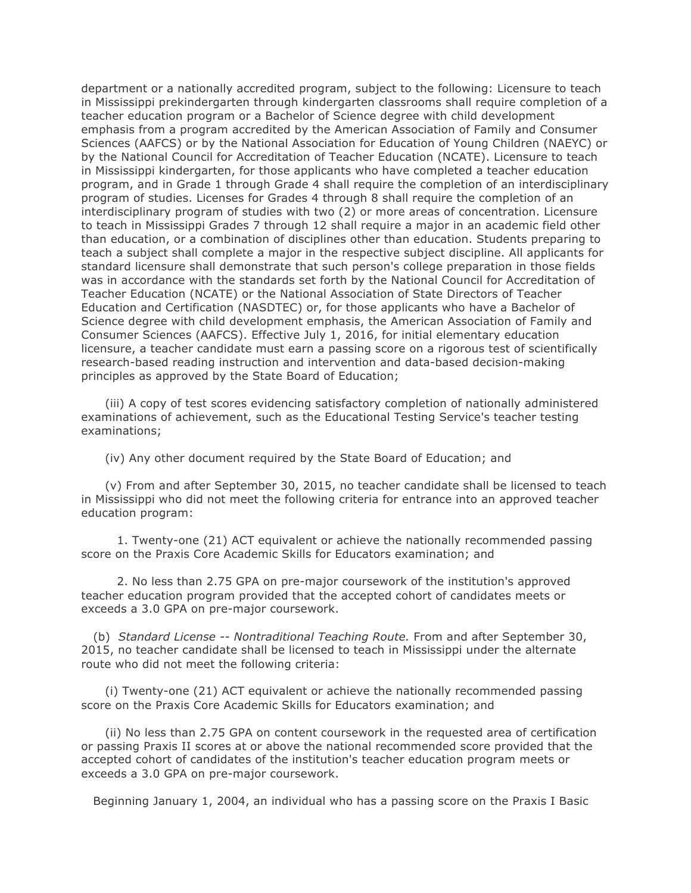department or a nationally accredited program, subject to the following: Licensure to teach in Mississippi prekindergarten through kindergarten classrooms shall require completion of a teacher education program or a Bachelor of Science degree with child development emphasis from a program accredited by the American Association of Family and Consumer Sciences (AAFCS) or by the National Association for Education of Young Children (NAEYC) or by the National Council for Accreditation of Teacher Education (NCATE). Licensure to teach in Mississippi kindergarten, for those applicants who have completed a teacher education program, and in Grade 1 through Grade 4 shall require the completion of an interdisciplinary program of studies. Licenses for Grades 4 through 8 shall require the completion of an interdisciplinary program of studies with two (2) or more areas of concentration. Licensure to teach in Mississippi Grades 7 through 12 shall require a major in an academic field other than education, or a combination of disciplines other than education. Students preparing to teach a subject shall complete a major in the respective subject discipline. All applicants for standard licensure shall demonstrate that such person's college preparation in those fields was in accordance with the standards set forth by the National Council for Accreditation of Teacher Education (NCATE) or the National Association of State Directors of Teacher Education and Certification (NASDTEC) or, for those applicants who have a Bachelor of Science degree with child development emphasis, the American Association of Family and Consumer Sciences (AAFCS). Effective July 1, 2016, for initial elementary education licensure, a teacher candidate must earn a passing score on a rigorous test of scientifically research-based reading instruction and intervention and data-based decision-making principles as approved by the State Board of Education;

 (iii) A copy of test scores evidencing satisfactory completion of nationally administered examinations of achievement, such as the Educational Testing Service's teacher testing examinations;

(iv) Any other document required by the State Board of Education; and

 (v) From and after September 30, 2015, no teacher candidate shall be licensed to teach in Mississippi who did not meet the following criteria for entrance into an approved teacher education program:

 1. Twenty-one (21) ACT equivalent or achieve the nationally recommended passing score on the Praxis Core Academic Skills for Educators examination; and

 2. No less than 2.75 GPA on pre-major coursework of the institution's approved teacher education program provided that the accepted cohort of candidates meets or exceeds a 3.0 GPA on pre-major coursework.

 (b) *Standard License -- Nontraditional Teaching Route.* From and after September 30, 2015, no teacher candidate shall be licensed to teach in Mississippi under the alternate route who did not meet the following criteria:

 (i) Twenty-one (21) ACT equivalent or achieve the nationally recommended passing score on the Praxis Core Academic Skills for Educators examination; and

 (ii) No less than 2.75 GPA on content coursework in the requested area of certification or passing Praxis II scores at or above the national recommended score provided that the accepted cohort of candidates of the institution's teacher education program meets or exceeds a 3.0 GPA on pre-major coursework.

Beginning January 1, 2004, an individual who has a passing score on the Praxis I Basic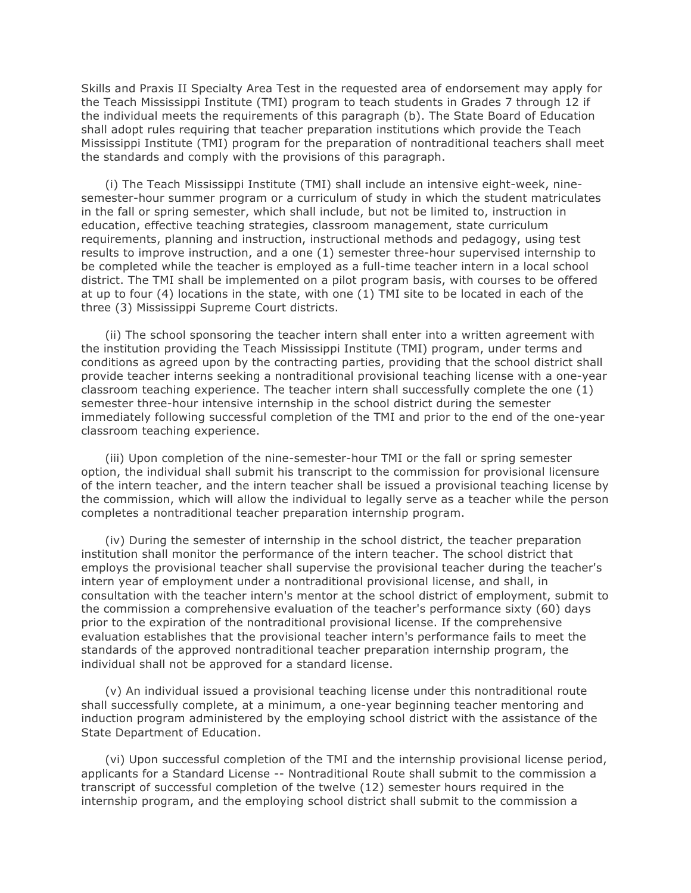Skills and Praxis II Specialty Area Test in the requested area of endorsement may apply for the Teach Mississippi Institute (TMI) program to teach students in Grades 7 through 12 if the individual meets the requirements of this paragraph (b). The State Board of Education shall adopt rules requiring that teacher preparation institutions which provide the Teach Mississippi Institute (TMI) program for the preparation of nontraditional teachers shall meet the standards and comply with the provisions of this paragraph.

 (i) The Teach Mississippi Institute (TMI) shall include an intensive eight-week, ninesemester-hour summer program or a curriculum of study in which the student matriculates in the fall or spring semester, which shall include, but not be limited to, instruction in education, effective teaching strategies, classroom management, state curriculum requirements, planning and instruction, instructional methods and pedagogy, using test results to improve instruction, and a one (1) semester three-hour supervised internship to be completed while the teacher is employed as a full-time teacher intern in a local school district. The TMI shall be implemented on a pilot program basis, with courses to be offered at up to four (4) locations in the state, with one (1) TMI site to be located in each of the three (3) Mississippi Supreme Court districts.

 (ii) The school sponsoring the teacher intern shall enter into a written agreement with the institution providing the Teach Mississippi Institute (TMI) program, under terms and conditions as agreed upon by the contracting parties, providing that the school district shall provide teacher interns seeking a nontraditional provisional teaching license with a one-year classroom teaching experience. The teacher intern shall successfully complete the one (1) semester three-hour intensive internship in the school district during the semester immediately following successful completion of the TMI and prior to the end of the one-year classroom teaching experience.

 (iii) Upon completion of the nine-semester-hour TMI or the fall or spring semester option, the individual shall submit his transcript to the commission for provisional licensure of the intern teacher, and the intern teacher shall be issued a provisional teaching license by the commission, which will allow the individual to legally serve as a teacher while the person completes a nontraditional teacher preparation internship program.

 (iv) During the semester of internship in the school district, the teacher preparation institution shall monitor the performance of the intern teacher. The school district that employs the provisional teacher shall supervise the provisional teacher during the teacher's intern year of employment under a nontraditional provisional license, and shall, in consultation with the teacher intern's mentor at the school district of employment, submit to the commission a comprehensive evaluation of the teacher's performance sixty (60) days prior to the expiration of the nontraditional provisional license. If the comprehensive evaluation establishes that the provisional teacher intern's performance fails to meet the standards of the approved nontraditional teacher preparation internship program, the individual shall not be approved for a standard license.

 (v) An individual issued a provisional teaching license under this nontraditional route shall successfully complete, at a minimum, a one-year beginning teacher mentoring and induction program administered by the employing school district with the assistance of the State Department of Education.

 (vi) Upon successful completion of the TMI and the internship provisional license period, applicants for a Standard License -- Nontraditional Route shall submit to the commission a transcript of successful completion of the twelve (12) semester hours required in the internship program, and the employing school district shall submit to the commission a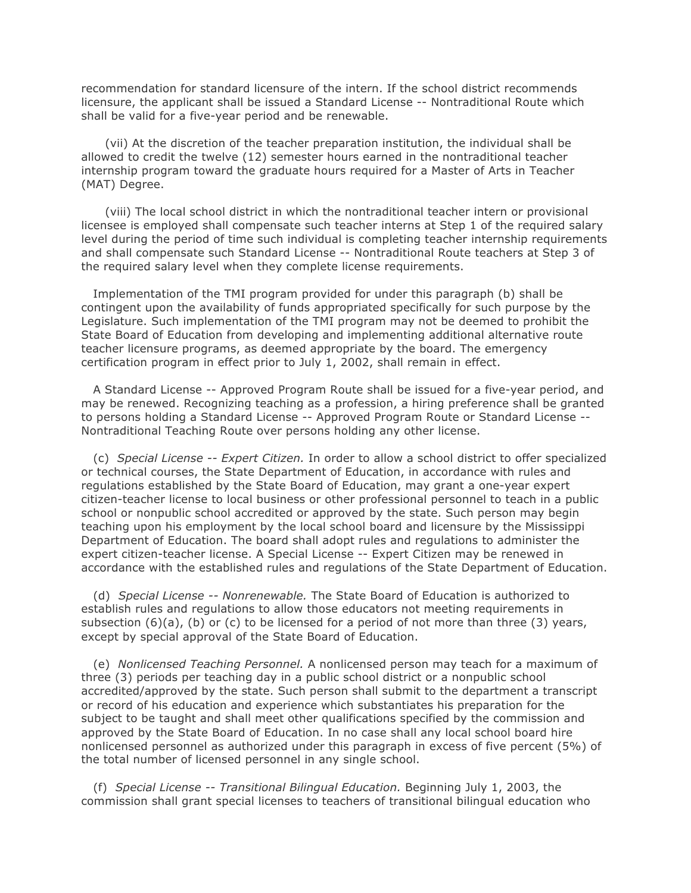recommendation for standard licensure of the intern. If the school district recommends licensure, the applicant shall be issued a Standard License -- Nontraditional Route which shall be valid for a five-year period and be renewable.

 (vii) At the discretion of the teacher preparation institution, the individual shall be allowed to credit the twelve (12) semester hours earned in the nontraditional teacher internship program toward the graduate hours required for a Master of Arts in Teacher (MAT) Degree.

 (viii) The local school district in which the nontraditional teacher intern or provisional licensee is employed shall compensate such teacher interns at Step 1 of the required salary level during the period of time such individual is completing teacher internship requirements and shall compensate such Standard License -- Nontraditional Route teachers at Step 3 of the required salary level when they complete license requirements.

 Implementation of the TMI program provided for under this paragraph (b) shall be contingent upon the availability of funds appropriated specifically for such purpose by the Legislature. Such implementation of the TMI program may not be deemed to prohibit the State Board of Education from developing and implementing additional alternative route teacher licensure programs, as deemed appropriate by the board. The emergency certification program in effect prior to July 1, 2002, shall remain in effect.

 A Standard License -- Approved Program Route shall be issued for a five-year period, and may be renewed. Recognizing teaching as a profession, a hiring preference shall be granted to persons holding a Standard License -- Approved Program Route or Standard License -- Nontraditional Teaching Route over persons holding any other license.

 (c) *Special License -- Expert Citizen.* In order to allow a school district to offer specialized or technical courses, the State Department of Education, in accordance with rules and regulations established by the State Board of Education, may grant a one-year expert citizen-teacher license to local business or other professional personnel to teach in a public school or nonpublic school accredited or approved by the state. Such person may begin teaching upon his employment by the local school board and licensure by the Mississippi Department of Education. The board shall adopt rules and regulations to administer the expert citizen-teacher license. A Special License -- Expert Citizen may be renewed in accordance with the established rules and regulations of the State Department of Education.

 (d) *Special License -- Nonrenewable.* The State Board of Education is authorized to establish rules and regulations to allow those educators not meeting requirements in subsection  $(6)(a)$ ,  $(b)$  or  $(c)$  to be licensed for a period of not more than three  $(3)$  years, except by special approval of the State Board of Education.

 (e) *Nonlicensed Teaching Personnel.* A nonlicensed person may teach for a maximum of three (3) periods per teaching day in a public school district or a nonpublic school accredited/approved by the state. Such person shall submit to the department a transcript or record of his education and experience which substantiates his preparation for the subject to be taught and shall meet other qualifications specified by the commission and approved by the State Board of Education. In no case shall any local school board hire nonlicensed personnel as authorized under this paragraph in excess of five percent (5%) of the total number of licensed personnel in any single school.

 (f) *Special License -- Transitional Bilingual Education.* Beginning July 1, 2003, the commission shall grant special licenses to teachers of transitional bilingual education who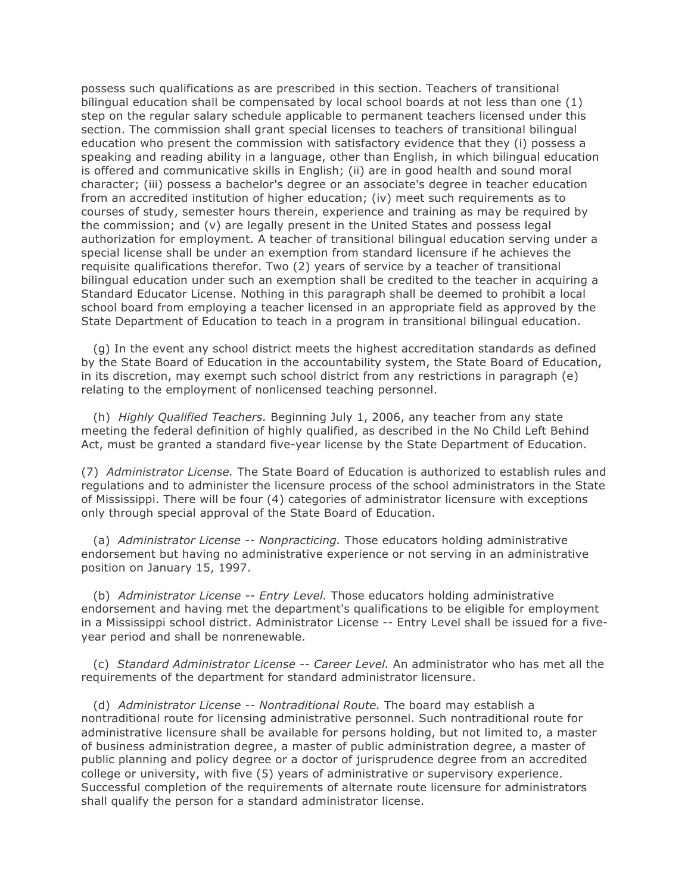possess such qualifications as are prescribed in this section. Teachers of transitional bilingual education shall be compensated by local school boards at not less than one (1) step on the regular salary schedule applicable to permanent teachers licensed under this section. The commission shall grant special licenses to teachers of transitional bilingual education who present the commission with satisfactory evidence that they (i) possess a speaking and reading ability in a language, other than English, in which bilingual education is offered and communicative skills in English; (ii) are in good health and sound moral character; (iii) possess a bachelor's degree or an associate's degree in teacher education from an accredited institution of higher education; (iv) meet such requirements as to courses of study, semester hours therein, experience and training as may be required by the commission; and (v) are legally present in the United States and possess legal authorization for employment. A teacher of transitional bilingual education serving under a special license shall be under an exemption from standard licensure if he achieves the requisite qualifications therefor. Two (2) years of service by a teacher of transitional bilingual education under such an exemption shall be credited to the teacher in acquiring a Standard Educator License. Nothing in this paragraph shall be deemed to prohibit a local school board from employing a teacher licensed in an appropriate field as approved by the State Department of Education to teach in a program in transitional bilingual education.

 (g) In the event any school district meets the highest accreditation standards as defined by the State Board of Education in the accountability system, the State Board of Education, in its discretion, may exempt such school district from any restrictions in paragraph (e) relating to the employment of nonlicensed teaching personnel.

 (h) *Highly Qualified Teachers.* Beginning July 1, 2006, any teacher from any state meeting the federal definition of highly qualified, as described in the No Child Left Behind Act, must be granted a standard five-year license by the State Department of Education.

(7) *Administrator License.* The State Board of Education is authorized to establish rules and regulations and to administer the licensure process of the school administrators in the State of Mississippi. There will be four (4) categories of administrator licensure with exceptions only through special approval of the State Board of Education.

 (a) *Administrator License -- Nonpracticing.* Those educators holding administrative endorsement but having no administrative experience or not serving in an administrative position on January 15, 1997.

 (b) *Administrator License -- Entry Level.* Those educators holding administrative endorsement and having met the department's qualifications to be eligible for employment in a Mississippi school district. Administrator License -- Entry Level shall be issued for a fiveyear period and shall be nonrenewable.

 (c) *Standard Administrator License -- Career Level.* An administrator who has met all the requirements of the department for standard administrator licensure.

 (d) *Administrator License -- Nontraditional Route.* The board may establish a nontraditional route for licensing administrative personnel. Such nontraditional route for administrative licensure shall be available for persons holding, but not limited to, a master of business administration degree, a master of public administration degree, a master of public planning and policy degree or a doctor of jurisprudence degree from an accredited college or university, with five (5) years of administrative or supervisory experience. Successful completion of the requirements of alternate route licensure for administrators shall qualify the person for a standard administrator license.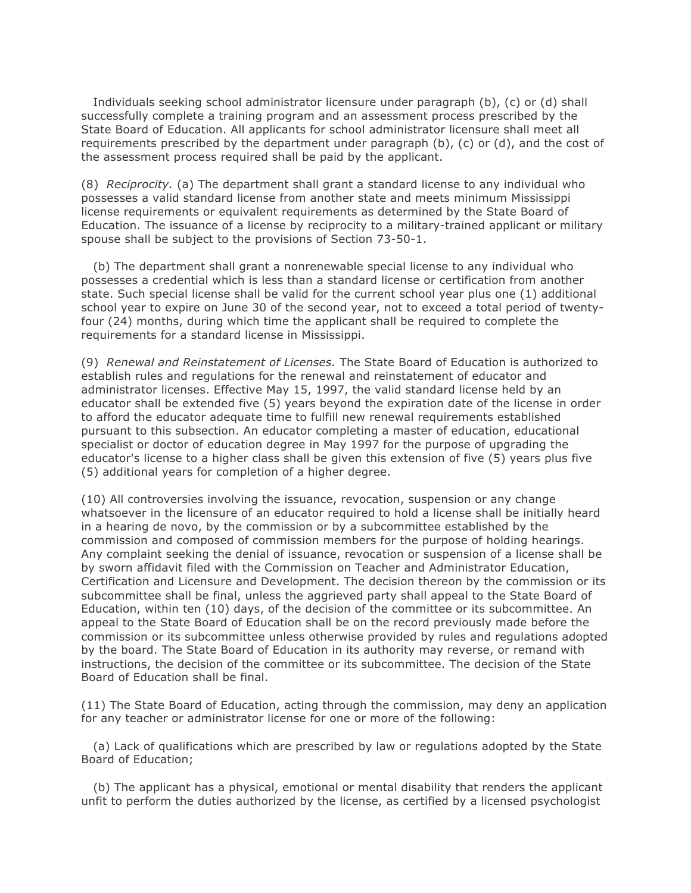Individuals seeking school administrator licensure under paragraph (b), (c) or (d) shall successfully complete a training program and an assessment process prescribed by the State Board of Education. All applicants for school administrator licensure shall meet all requirements prescribed by the department under paragraph (b), (c) or (d), and the cost of the assessment process required shall be paid by the applicant.

(8) *Reciprocity.* (a) The department shall grant a standard license to any individual who possesses a valid standard license from another state and meets minimum Mississippi license requirements or equivalent requirements as determined by the State Board of Education. The issuance of a license by reciprocity to a military-trained applicant or military spouse shall be subject to the provisions of Section 73-50-1.

 (b) The department shall grant a nonrenewable special license to any individual who possesses a credential which is less than a standard license or certification from another state. Such special license shall be valid for the current school year plus one (1) additional school year to expire on June 30 of the second year, not to exceed a total period of twentyfour (24) months, during which time the applicant shall be required to complete the requirements for a standard license in Mississippi.

(9) *Renewal and Reinstatement of Licenses.* The State Board of Education is authorized to establish rules and regulations for the renewal and reinstatement of educator and administrator licenses. Effective May 15, 1997, the valid standard license held by an educator shall be extended five (5) years beyond the expiration date of the license in order to afford the educator adequate time to fulfill new renewal requirements established pursuant to this subsection. An educator completing a master of education, educational specialist or doctor of education degree in May 1997 for the purpose of upgrading the educator's license to a higher class shall be given this extension of five (5) years plus five (5) additional years for completion of a higher degree.

(10) All controversies involving the issuance, revocation, suspension or any change whatsoever in the licensure of an educator required to hold a license shall be initially heard in a hearing de novo, by the commission or by a subcommittee established by the commission and composed of commission members for the purpose of holding hearings. Any complaint seeking the denial of issuance, revocation or suspension of a license shall be by sworn affidavit filed with the Commission on Teacher and Administrator Education, Certification and Licensure and Development. The decision thereon by the commission or its subcommittee shall be final, unless the aggrieved party shall appeal to the State Board of Education, within ten (10) days, of the decision of the committee or its subcommittee. An appeal to the State Board of Education shall be on the record previously made before the commission or its subcommittee unless otherwise provided by rules and regulations adopted by the board. The State Board of Education in its authority may reverse, or remand with instructions, the decision of the committee or its subcommittee. The decision of the State Board of Education shall be final.

(11) The State Board of Education, acting through the commission, may deny an application for any teacher or administrator license for one or more of the following:

 (a) Lack of qualifications which are prescribed by law or regulations adopted by the State Board of Education;

 (b) The applicant has a physical, emotional or mental disability that renders the applicant unfit to perform the duties authorized by the license, as certified by a licensed psychologist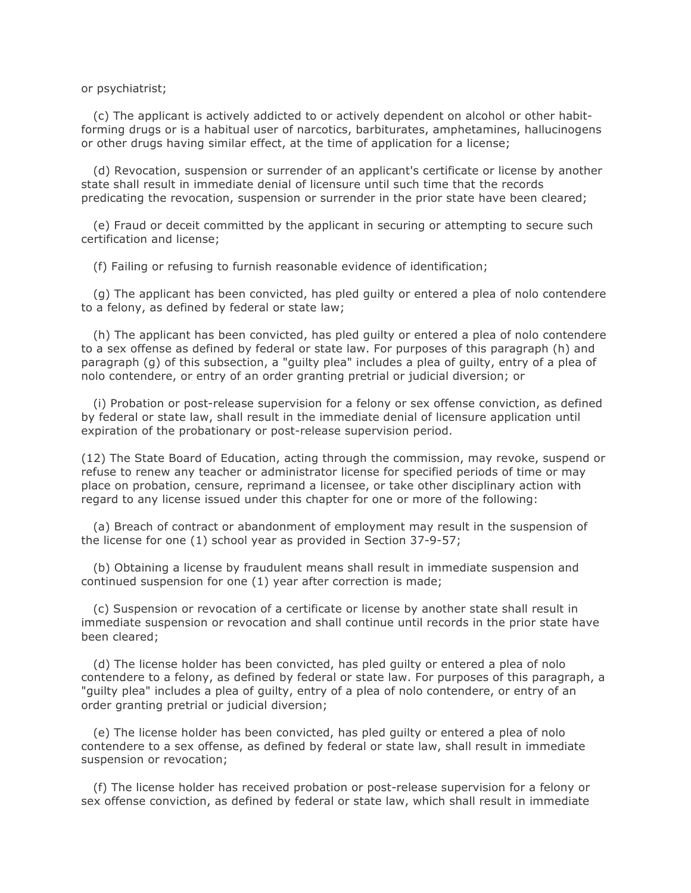or psychiatrist;

 (c) The applicant is actively addicted to or actively dependent on alcohol or other habitforming drugs or is a habitual user of narcotics, barbiturates, amphetamines, hallucinogens or other drugs having similar effect, at the time of application for a license;

 (d) Revocation, suspension or surrender of an applicant's certificate or license by another state shall result in immediate denial of licensure until such time that the records predicating the revocation, suspension or surrender in the prior state have been cleared;

 (e) Fraud or deceit committed by the applicant in securing or attempting to secure such certification and license;

(f) Failing or refusing to furnish reasonable evidence of identification;

 (g) The applicant has been convicted, has pled guilty or entered a plea of nolo contendere to a felony, as defined by federal or state law;

 (h) The applicant has been convicted, has pled guilty or entered a plea of nolo contendere to a sex offense as defined by federal or state law. For purposes of this paragraph (h) and paragraph (g) of this subsection, a "guilty plea" includes a plea of guilty, entry of a plea of nolo contendere, or entry of an order granting pretrial or judicial diversion; or

 (i) Probation or post-release supervision for a felony or sex offense conviction, as defined by federal or state law, shall result in the immediate denial of licensure application until expiration of the probationary or post-release supervision period.

(12) The State Board of Education, acting through the commission, may revoke, suspend or refuse to renew any teacher or administrator license for specified periods of time or may place on probation, censure, reprimand a licensee, or take other disciplinary action with regard to any license issued under this chapter for one or more of the following:

 (a) Breach of contract or abandonment of employment may result in the suspension of the license for one (1) school year as provided in Section 37-9-57;

 (b) Obtaining a license by fraudulent means shall result in immediate suspension and continued suspension for one (1) year after correction is made;

 (c) Suspension or revocation of a certificate or license by another state shall result in immediate suspension or revocation and shall continue until records in the prior state have been cleared;

 (d) The license holder has been convicted, has pled guilty or entered a plea of nolo contendere to a felony, as defined by federal or state law. For purposes of this paragraph, a "guilty plea" includes a plea of guilty, entry of a plea of nolo contendere, or entry of an order granting pretrial or judicial diversion;

 (e) The license holder has been convicted, has pled guilty or entered a plea of nolo contendere to a sex offense, as defined by federal or state law, shall result in immediate suspension or revocation;

 (f) The license holder has received probation or post-release supervision for a felony or sex offense conviction, as defined by federal or state law, which shall result in immediate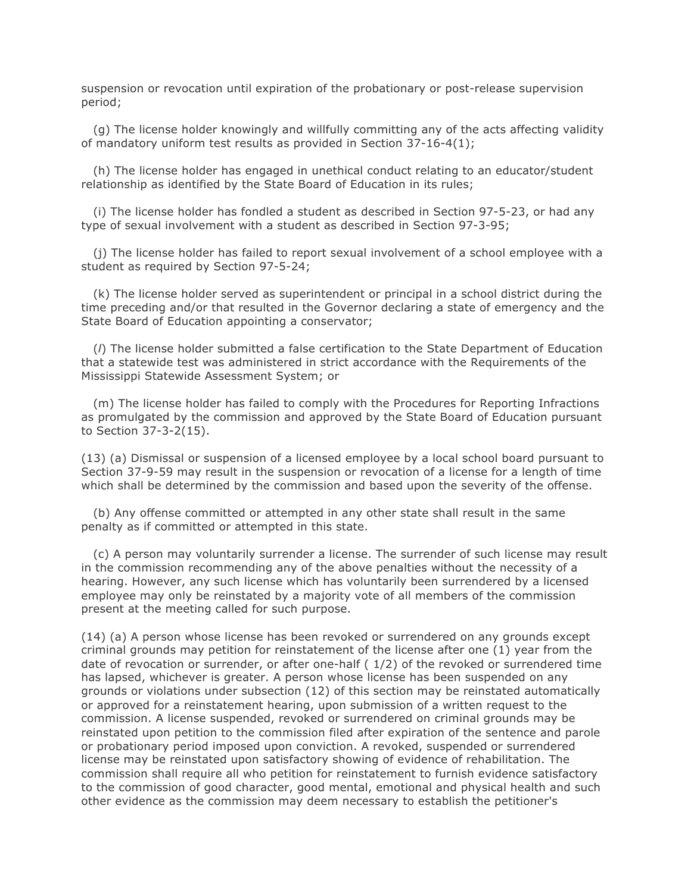suspension or revocation until expiration of the probationary or post-release supervision period;

 (g) The license holder knowingly and willfully committing any of the acts affecting validity of mandatory uniform test results as provided in Section 37-16-4(1);

 (h) The license holder has engaged in unethical conduct relating to an educator/student relationship as identified by the State Board of Education in its rules;

 (i) The license holder has fondled a student as described in Section 97-5-23, or had any type of sexual involvement with a student as described in Section 97-3-95;

 (j) The license holder has failed to report sexual involvement of a school employee with a student as required by Section 97-5-24;

 (k) The license holder served as superintendent or principal in a school district during the time preceding and/or that resulted in the Governor declaring a state of emergency and the State Board of Education appointing a conservator;

 (*l*) The license holder submitted a false certification to the State Department of Education that a statewide test was administered in strict accordance with the Requirements of the Mississippi Statewide Assessment System; or

 (m) The license holder has failed to comply with the Procedures for Reporting Infractions as promulgated by the commission and approved by the State Board of Education pursuant to Section 37-3-2(15).

(13) (a) Dismissal or suspension of a licensed employee by a local school board pursuant to Section 37-9-59 may result in the suspension or revocation of a license for a length of time which shall be determined by the commission and based upon the severity of the offense.

 (b) Any offense committed or attempted in any other state shall result in the same penalty as if committed or attempted in this state.

 (c) A person may voluntarily surrender a license. The surrender of such license may result in the commission recommending any of the above penalties without the necessity of a hearing. However, any such license which has voluntarily been surrendered by a licensed employee may only be reinstated by a majority vote of all members of the commission present at the meeting called for such purpose.

(14) (a) A person whose license has been revoked or surrendered on any grounds except criminal grounds may petition for reinstatement of the license after one (1) year from the date of revocation or surrender, or after one-half ( 1/2) of the revoked or surrendered time has lapsed, whichever is greater. A person whose license has been suspended on any grounds or violations under subsection (12) of this section may be reinstated automatically or approved for a reinstatement hearing, upon submission of a written request to the commission. A license suspended, revoked or surrendered on criminal grounds may be reinstated upon petition to the commission filed after expiration of the sentence and parole or probationary period imposed upon conviction. A revoked, suspended or surrendered license may be reinstated upon satisfactory showing of evidence of rehabilitation. The commission shall require all who petition for reinstatement to furnish evidence satisfactory to the commission of good character, good mental, emotional and physical health and such other evidence as the commission may deem necessary to establish the petitioner's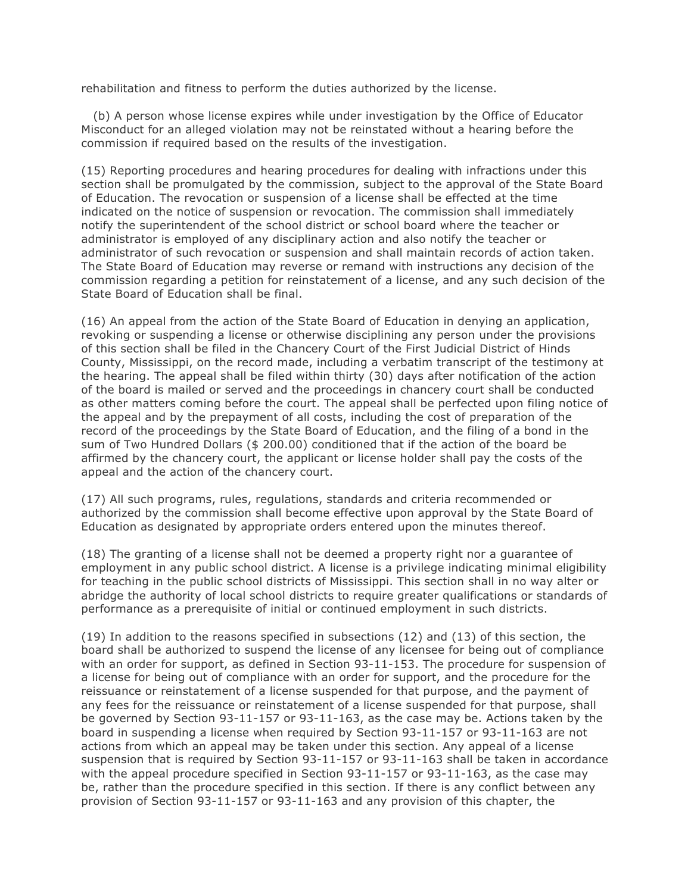rehabilitation and fitness to perform the duties authorized by the license.

 (b) A person whose license expires while under investigation by the Office of Educator Misconduct for an alleged violation may not be reinstated without a hearing before the commission if required based on the results of the investigation.

(15) Reporting procedures and hearing procedures for dealing with infractions under this section shall be promulgated by the commission, subject to the approval of the State Board of Education. The revocation or suspension of a license shall be effected at the time indicated on the notice of suspension or revocation. The commission shall immediately notify the superintendent of the school district or school board where the teacher or administrator is employed of any disciplinary action and also notify the teacher or administrator of such revocation or suspension and shall maintain records of action taken. The State Board of Education may reverse or remand with instructions any decision of the commission regarding a petition for reinstatement of a license, and any such decision of the State Board of Education shall be final.

(16) An appeal from the action of the State Board of Education in denying an application, revoking or suspending a license or otherwise disciplining any person under the provisions of this section shall be filed in the Chancery Court of the First Judicial District of Hinds County, Mississippi, on the record made, including a verbatim transcript of the testimony at the hearing. The appeal shall be filed within thirty (30) days after notification of the action of the board is mailed or served and the proceedings in chancery court shall be conducted as other matters coming before the court. The appeal shall be perfected upon filing notice of the appeal and by the prepayment of all costs, including the cost of preparation of the record of the proceedings by the State Board of Education, and the filing of a bond in the sum of Two Hundred Dollars (\$ 200.00) conditioned that if the action of the board be affirmed by the chancery court, the applicant or license holder shall pay the costs of the appeal and the action of the chancery court.

(17) All such programs, rules, regulations, standards and criteria recommended or authorized by the commission shall become effective upon approval by the State Board of Education as designated by appropriate orders entered upon the minutes thereof.

(18) The granting of a license shall not be deemed a property right nor a guarantee of employment in any public school district. A license is a privilege indicating minimal eligibility for teaching in the public school districts of Mississippi. This section shall in no way alter or abridge the authority of local school districts to require greater qualifications or standards of performance as a prerequisite of initial or continued employment in such districts.

(19) In addition to the reasons specified in subsections (12) and (13) of this section, the board shall be authorized to suspend the license of any licensee for being out of compliance with an order for support, as defined in Section 93-11-153. The procedure for suspension of a license for being out of compliance with an order for support, and the procedure for the reissuance or reinstatement of a license suspended for that purpose, and the payment of any fees for the reissuance or reinstatement of a license suspended for that purpose, shall be governed by Section 93-11-157 or 93-11-163, as the case may be. Actions taken by the board in suspending a license when required by Section 93-11-157 or 93-11-163 are not actions from which an appeal may be taken under this section. Any appeal of a license suspension that is required by Section 93-11-157 or 93-11-163 shall be taken in accordance with the appeal procedure specified in Section 93-11-157 or 93-11-163, as the case may be, rather than the procedure specified in this section. If there is any conflict between any provision of Section 93-11-157 or 93-11-163 and any provision of this chapter, the